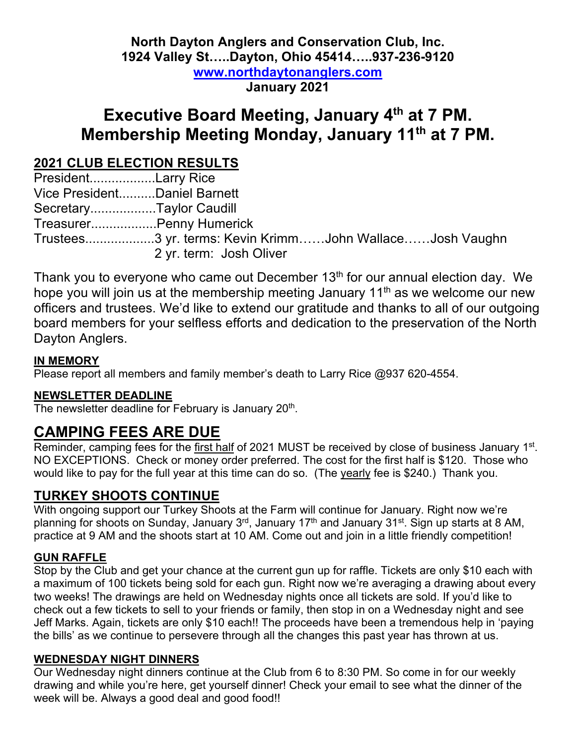### **North Dayton Anglers and Conservation Club, Inc. 1924 Valley St…..Dayton, Ohio 45414…..937-236-9120 www.northdaytonanglers.com January 2021**

# **Executive Board Meeting, January 4th at 7 PM. Membership Meeting Monday, January 11th at 7 PM.**

## **2021 CLUB ELECTION RESULTS**

President..................Larry Rice Vice President..........Daniel Barnett Secretary..................Taylor Caudill Treasurer..................Penny Humerick Trustees...................3 yr. terms: Kevin Krimm……John Wallace……Josh Vaughn 2 yr. term: Josh Oliver

Thank you to everyone who came out December  $13<sup>th</sup>$  for our annual election day. We hope you will join us at the membership meeting January 11<sup>th</sup> as we welcome our new officers and trustees. We'd like to extend our gratitude and thanks to all of our outgoing board members for your selfless efforts and dedication to the preservation of the North Dayton Anglers.

#### **IN MEMORY**

Please report all members and family member's death to Larry Rice @937 620-4554.

#### **NEWSLETTER DEADLINE**

The newsletter deadline for February is January 20<sup>th</sup>.

## **CAMPING FEES ARE DUE**

Reminder, camping fees for the first half of 2021 MUST be received by close of business January 1<sup>st</sup>. NO EXCEPTIONS. Check or money order preferred. The cost for the first half is \$120. Those who would like to pay for the full year at this time can do so. (The yearly fee is \$240.) Thank you.

### **TURKEY SHOOTS CONTINUE**

With ongoing support our Turkey Shoots at the Farm will continue for January. Right now we're planning for shoots on Sunday, January 3<sup>rd</sup>, January 17<sup>th</sup> and January 31<sup>st</sup>. Sign up starts at 8 AM, practice at 9 AM and the shoots start at 10 AM. Come out and join in a little friendly competition!

#### **GUN RAFFLE**

Stop by the Club and get your chance at the current gun up for raffle. Tickets are only \$10 each with a maximum of 100 tickets being sold for each gun. Right now we're averaging a drawing about every two weeks! The drawings are held on Wednesday nights once all tickets are sold. If you'd like to check out a few tickets to sell to your friends or family, then stop in on a Wednesday night and see Jeff Marks. Again, tickets are only \$10 each!! The proceeds have been a tremendous help in 'paying the bills' as we continue to persevere through all the changes this past year has thrown at us.

#### **WEDNESDAY NIGHT DINNERS**

Our Wednesday night dinners continue at the Club from 6 to 8:30 PM. So come in for our weekly drawing and while you're here, get yourself dinner! Check your email to see what the dinner of the week will be. Always a good deal and good food!!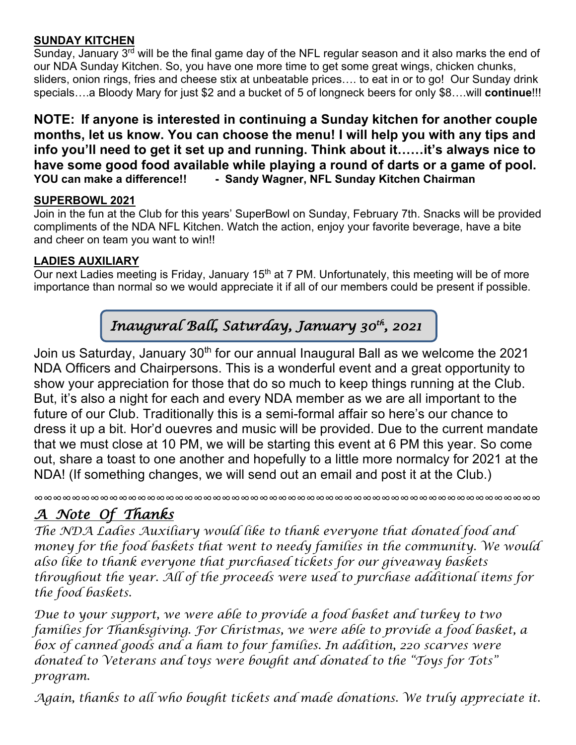#### **SUNDAY KITCHEN**

Sunday, January  $3<sup>rd</sup>$  will be the final game day of the NFL regular season and it also marks the end of our NDA Sunday Kitchen. So, you have one more time to get some great wings, chicken chunks, sliders, onion rings, fries and cheese stix at unbeatable prices…. to eat in or to go! Our Sunday drink specials….a Bloody Mary for just \$2 and a bucket of 5 of longneck beers for only \$8….will **continue**!!!

**NOTE: If anyone is interested in continuing a Sunday kitchen for another couple months, let us know. You can choose the menu! I will help you with any tips and info you'll need to get it set up and running. Think about it……it's always nice to have some good food available while playing a round of darts or a game of pool.** YOU can make a difference!! - Sandy Wagner, NFL Sunday Kitchen Chairman

#### **SUPERBOWL 2021**

Join in the fun at the Club for this years' SuperBowl on Sunday, February 7th. Snacks will be provided compliments of the NDA NFL Kitchen. Watch the action, enjoy your favorite beverage, have a bite and cheer on team you want to win!!

#### **LADIES AUXILIARY**

Our next Ladies meeting is Friday, January 15<sup>th</sup> at 7 PM. Unfortunately, this meeting will be of more importance than normal so we would appreciate it if all of our members could be present if possible.

## *Inaugural Ball, Saturday, January 30th, 2021*

Join us Saturday, January  $30<sup>th</sup>$  for our annual Inaugural Ball as we welcome the 2021 NDA Officers and Chairpersons. This is a wonderful event and a great opportunity to show your appreciation for those that do so much to keep things running at the Club. But, it's also a night for each and every NDA member as we are all important to the future of our Club. Traditionally this is a semi-formal affair so here's our chance to dress it up a bit. Hor'd ouevres and music will be provided. Due to the current mandate that we must close at 10 PM, we will be starting this event at 6 PM this year. So come out, share a toast to one another and hopefully to a little more normalcy for 2021 at the NDA! (If something changes, we will send out an email and post it at the Club.)

∞∞∞∞∞∞∞∞∞∞∞∞∞∞∞∞∞∞∞∞∞∞∞∞∞∞∞∞∞∞∞∞∞∞∞∞∞∞∞∞∞∞∞∞∞∞∞∞∞∞∞∞∞∞

## *A Note Of Thanks*

*The NDA Ladies Auxiliary would like to thank everyone that donated food and money for the food baskets that went to needy families in the community. We would also like to thank everyone that purchased tickets for our giveaway baskets throughout the year. All of the proceeds were used to purchase additional items for the food baskets.*

*Due to your support, we were able to provide a food basket and turkey to two families for Thanksgiving. For Christmas, we were able to provide a food basket, a box of canned goods and a ham to four families. In addition, 220 scarves were donated to Veterans and toys were bought and donated to the "Toys for Tots" program.*

*Again, thanks to all who bought tickets and made donations. We truly appreciate it.*